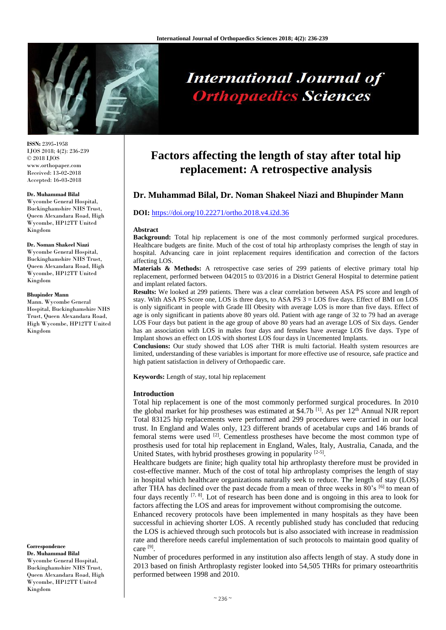

# **International Journal of Orthopaedics Sciences**

**ISSN:** 2395**-**1958 IJOS 2018; 4(2): 236-239 © 2018 IJOS www.orthopaper.com Received: 13**-**02**-**2018 Accepted: 16**-**03**-**2018

#### **Dr. Muhammad Bilal**

Wycombe General Hospital, Buckinghamshire NHS Trust, Queen Alexandara Road, High Wycombe, HP12TT United Kingdom

#### **Dr. Noman Shakeel Niazi**

Wycombe General Hospital, Buckinghamshire NHS Trust, Queen Alexandara Road, High Wycombe, HP12TT United Kingdom

#### **Bhupinder Mann**

Mann. Wycombe General Hospital, Buckinghamshire NHS Trust, Queen Alexandara Road, High Wycombe, HP12TT United Kingdom

**Correspondence Dr. Muhammad Bilal** Wycombe General Hospital, Buckinghamshire NHS Trust, Queen Alexandara Road, High Wycombe, HP12TT United Kingdom

# **Factors affecting the length of stay after total hip replacement: A retrospective analysis**

# **Dr. Muhammad Bilal, Dr. Noman Shakeel Niazi and Bhupinder Mann**

# **DOI:** <https://doi.org/10.22271/ortho.2018.v4.i2d.36>

#### **Abstract**

**Background:** Total hip replacement is one of the most commonly performed surgical procedures. Healthcare budgets are finite. Much of the cost of total hip arthroplasty comprises the length of stay in hospital. Advancing care in joint replacement requires identification and correction of the factors affecting LOS.

**Materials & Methods:** A retrospective case series of 299 patients of elective primary total hip replacement, performed between 04/2015 to 03/2016 in a District General Hospital to determine patient and implant related factors.

**Results:** We looked at 299 patients. There was a clear correlation between ASA PS score and length of stay. With ASA PS Score one, LOS is three days, to ASA PS 3 = LOS five days. Effect of BMI on LOS is only significant in people with Grade III Obesity with average LOS is more than five days. Effect of age is only significant in patients above 80 years old. Patient with age range of 32 to 79 had an average LOS Four days but patient in the age group of above 80 years had an average LOS of Six days. Gender has an association with LOS in males four days and females have average LOS five days. Type of Implant shows an effect on LOS with shortest LOS four days in Uncemented Implants.

**Conclusions:** Our study showed that LOS after THR is multi factorial. Health system resources are limited, understanding of these variables is important for more effective use of resource, safe practice and high patient satisfaction in delivery of Orthopaedic care.

**Keywords:** Length of stay, total hip replacement

# **Introduction**

Total hip replacement is one of the most commonly performed surgical procedures. In 2010 the global market for hip prostheses was estimated at \$4.7b  $^{[1]}$ . As per 12<sup>th</sup> Annual NJR report Total 83125 hip replacements were performed and 299 procedures were carried in our local trust. In England and Wales only, 123 different brands of acetabular cups and 146 brands of femoral stems were used <sup>[2]</sup>. Cementless prostheses have become the most common type of prosthesis used for total hip replacement in England, Wales, Italy, Australia, Canada, and the United States, with hybrid prostheses growing in popularity [2**-**5] .

Healthcare budgets are finite; high quality total hip arthroplasty therefore must be provided in cost**-**effective manner. Much of the cost of total hip arthroplasty comprises the length of stay in hospital which healthcare organizations naturally seek to reduce. The length of stay (LOS) after THA has declined over the past decade from a mean of three weeks in  $80^\circ s$  <sup>[6]</sup> to mean of four days recently [7, 8]. Lot of research has been done and is ongoing in this area to look for factors affecting the LOS and areas for improvement without compromising the outcome.

Enhanced recovery protocols have been implemented in many hospitals as they have been successful in achieving shorter LOS. A recently published study has concluded that reducing the LOS is achieved through such protocols but is also associated with increase in readmission rate and therefore needs careful implementation of such protocols to maintain good quality of care <sup>[9]</sup>.

Number of procedures performed in any institution also affects length of stay. A study done in 2013 based on finish Arthroplasty register looked into 54,505 THRs for primary osteoarthritis performed between 1998 and 2010.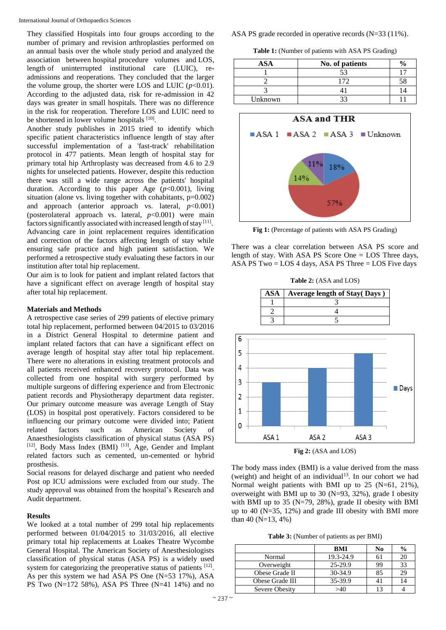They classified Hospitals into four groups according to the number of primary and revision arthroplasties performed on an annual basis over the whole study period and analyzed the association between hospital procedure volumes and LOS, length of uninterrupted institutional care (LUIC), readmissions and reoperations. They concluded that the larger the volume group, the shorter were LOS and LUIC  $(p<0.01)$ . According to the adjusted data, risk for re**-**admission in 42 days was greater in small hospitals. There was no difference in the risk for reoperation. Therefore LOS and LUIC need to be shortened in lower volume hospitals [10].

Another study publishes in 2015 tried to identify which specific patient characteristics influence length of stay after successful implementation of a 'fast**-**track' rehabilitation protocol in 477 patients. Mean length of hospital stay for primary total hip Arthroplasty was decreased from 4.6 to 2.9 nights for unselected patients. However, despite this reduction there was still a wide range across the patients' hospital duration. According to this paper Age  $(p<0.001)$ , living situation (alone vs. living together with cohabitants,  $p=0.002$ ) and approach (anterior approach vs. lateral, *p*<0.001) (posterolateral approach vs. lateral, *p*<0.001) were main factors significantly associated with increased length of stay [11]. Advancing care in joint replacement requires identification and correction of the factors affecting length of stay while ensuring safe practice and high patient satisfaction. We performed a retrospective study evaluating these factors in our institution after total hip replacement.

Our aim is to look for patient and implant related factors that have a significant effect on average length of hospital stay after total hip replacement.

# **Materials and Methods**

A retrospective case series of 299 patients of elective primary total hip replacement, performed between 04/2015 to 03/2016 in a District General Hospital to determine patient and implant related factors that can have a significant effect on average length of hospital stay after total hip replacement. There were no alterations in existing treatment protocols and all patients received enhanced recovery protocol. Data was collected from one hospital with surgery performed by multiple surgeons of differing experience and from Electronic patient records and Physiotherapy department data register. Our primary outcome measure was average Length of Stay (LOS) in hospital post operatively. Factors considered to be influencing our primary outcome were divided into; Patient related factors such as American Society of related factors such as American Society of Anaesthesiologists classification of physical status (ASA PS) [12], Body Mass Index (BMI) [13], Age, Gender and Implant related factors such as cemented, un**-**cemented or hybrid prosthesis.

Social reasons for delayed discharge and patient who needed Post op ICU admissions were excluded from our study. The study approval was obtained from the hospital's Research and Audit department.

# **Results**

We looked at a total number of 299 total hip replacements performed between 01/04/2015 to 31/03/2016, all elective primary total hip replacements at Loakes Theatre Wycombe General Hospital. The American Society of Anesthesiologists classification of physical status (ASA PS) is a widely used system for categorizing the preoperative status of patients [12]. As per this system we had ASA PS One (N=53 17%), ASA PS Two (N=172 58%), ASA PS Three (N=41 14%) and no

ASA PS grade recorded in operative records (N=33 (11%).

**Table 1:** (Number of patients with ASA PS Grading)

|         | No. of patients |  |
|---------|-----------------|--|
|         |                 |  |
|         |                 |  |
|         |                 |  |
| Unknown |                 |  |



Fig 1: (Percentage of patients with ASA PS Grading)

There was a clear correlation between ASA PS score and length of stay. With ASA PS Score One = LOS Three days, ASA PS Two  $=$  LOS 4 days, ASA PS Three  $=$  LOS Five days

**Table 2:** (ASA and LOS)



**Fig 2:** (ASA and LOS)

The body mass index (BMI) is a value derived from the mass (weight) and height of an individual<sup>13</sup>. In our cohort we had Normal weight patients with BMI up to  $25$  (N=61, 21%), overweight with BMI up to 30 (N=93, 32%), grade I obesity with BMI up to 35 (N=79, 28%), grade II obesity with BMI up to 40 (N=35, 12%) and grade III obesity with BMI more than 40  $(N=13, 4\%)$ 

**Table 3:** (Number of patients as per BMI)

|                 | <b>BMI</b> | No | $\frac{6}{9}$ |
|-----------------|------------|----|---------------|
| Normal          | 19.3-24.9  |    | 20            |
| Overweight      | 25-29.9    | 99 | 33            |
| Obese Grade II  | 30-34.9    | 85 | 29            |
| Obese Grade III | 35-39.9    |    | 14            |
| Severe Obesity  | >40        | 13 |               |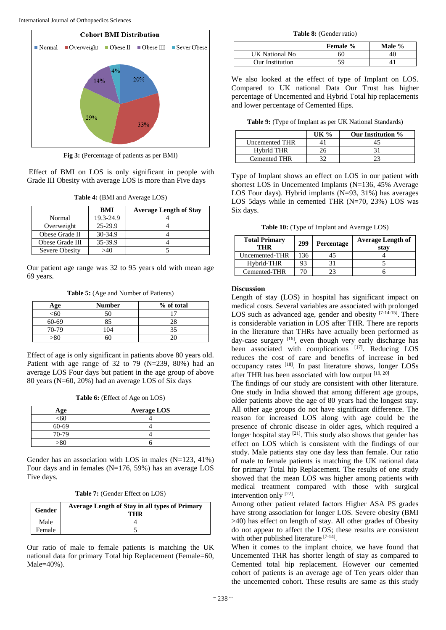

**Fig 3:** (Percentage of patients as per BMI)

Effect of BMI on LOS is only significant in people with Grade III Obesity with average LOS is more than Five days

**Table 4:** (BMI and Average LOS)

|                 | BMI       | <b>Average Length of Stay</b> |
|-----------------|-----------|-------------------------------|
| Normal          | 19.3-24.9 |                               |
| Overweight      | 25-29.9   |                               |
| Obese Grade II  | 30-34.9   |                               |
| Obese Grade III | 35-39.9   |                               |
| Severe Obesity  |           |                               |

Our patient age range was 32 to 95 years old with mean age 69 years.

**Table 5:** (Age and Number of Patients)

| Age   | <b>Number</b> | % of total |
|-------|---------------|------------|
| :60   | 50            |            |
| 60-69 | 85            |            |
| 70-79 | 104           |            |
| . 97  |               |            |

Effect of age is only significant in patients above 80 years old. Patient with age range of 32 to  $79$  (N=239, 80%) had an average LOS Four days but patient in the age group of above 80 years (N=60, 20%) had an average LOS of Six days

**Table 6:** (Effect of Age on LOS)

| Age       | <b>Average LOS</b> |
|-----------|--------------------|
|           |                    |
| 60-69     |                    |
| 70-79     |                    |
| $\sim$ 80 |                    |

Gender has an association with LOS in males (N=123, 41%) Four days and in females (N=176, 59%) has an average LOS Five days.

|  | <b>Table 7:</b> (Gender Effect on LOS) |
|--|----------------------------------------|
|--|----------------------------------------|

| Gender | Average Length of Stay in all types of Primary<br>THR |
|--------|-------------------------------------------------------|
| Male   |                                                       |
| Female |                                                       |

Our ratio of male to female patients is matching the UK national data for primary Total hip Replacement (Female=60, Male=40%).

**Table 8:** (Gender ratio)

|                 | Female % | Male $%$ |
|-----------------|----------|----------|
| UK National No  | 50       |          |
| Our Institution | 59       |          |

We also looked at the effect of type of Implant on LOS. Compared to UK national Data Our Trust has higher percentage of Uncemented and Hybrid Total hip replacements and lower percentage of Cemented Hips.

**Table 9:** (Type of Implant as per UK National Standards)

|                   | TIK % | Our Institution % |
|-------------------|-------|-------------------|
| Uncemented THR    |       |                   |
| <b>Hybrid THR</b> |       |                   |
| Cemented THR      |       |                   |

Type of Implant shows an effect on LOS in our patient with shortest LOS in Uncemented Implants (N=136, 45% Average LOS Four days). Hybrid implants (N=93, 31%) has averages LOS 5days while in cemented THR (N=70, 23%) LOS was Six days.

**Table 10:** (Type of Implant and Average LOS)

| <b>Total Primary</b><br>THR | 299      | <b>Percentage</b> | <b>Average Length of</b><br>stav |
|-----------------------------|----------|-------------------|----------------------------------|
| Uncemented-THR              | 136      | 45                |                                  |
| Hybrid-THR                  | 93       |                   |                                  |
| Cemented-THR                | $\prime$ |                   |                                  |

# **Discussion**

Length of stay (LOS) in hospital has significant impact on medical costs. Several variables are associated with prolonged LOS such as advanced age, gender and obesity [7**-**14**-**15] . There is considerable variation in LOS after THR. There are reports in the literature that THRs have actually been performed as day**-**case surgery [16] , even though very early discharge has been associated with complications [17]. Reducing LOS reduces the cost of care and benefits of increase in bed occupancy rates [18] . In past literature shows, longer LOSs after THR has been associated with low output [19, 20]

The findings of our study are consistent with other literature. One study in India showed that among different age groups, older patients above the age of 80 years had the longest stay. All other age groups do not have significant difference. The reason for increased LOS along with age could be the presence of chronic disease in older ages, which required a longer hospital stay<sup>[21]</sup>. This study also shows that gender has effect on LOS which is consistent with the findings of our study. Male patients stay one day less than female. Our ratio of male to female patients is matching the UK national data for primary Total hip Replacement. The results of one study showed that the mean LOS was higher among patients with medical treatment compared with those with surgical intervention only  $^{[22]}$ .

Among other patient related factors Higher ASA PS grades have strong association for longer LOS. Severe obesity (BMI >40) has effect on length of stay. All other grades of Obesity do not appear to affect the LOS; these results are consistent with other published literature [7**-**14] .

When it comes to the implant choice, we have found that Uncemented THR has shorter length of stay as compared to Cemented total hip replacement. However our cemented cohort of patients is an average age of Ten years older than the uncemented cohort. These results are same as this study